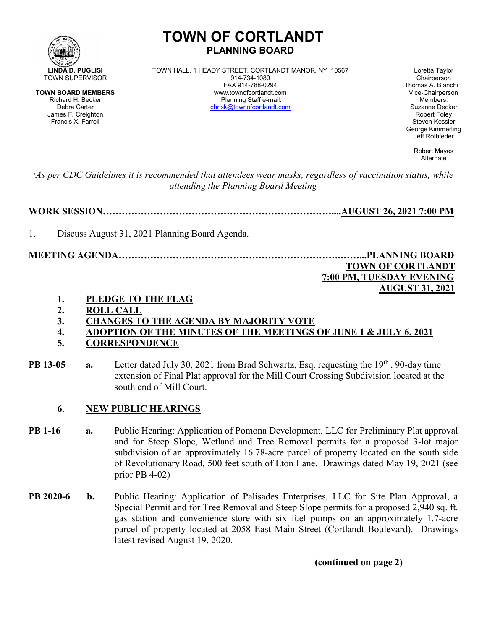

# **TOWN OF CORTLANDT PLANNING BOARD**

**LINDA D. PUGLISI** TOWN HALL, 1 HEADY STREET, CORTLANDT MANOR, NY 10567 Loretta Taylor<br>
914-734-1080 MALL, 1 HEADY STREET, CORTLANDT MANOR, NY 10567 Chairperson FAX 914-788-0294 Thomas A. Bianchi **TOWN BOARD MEMBERS** www.townofcortlandt.com www.townofcontlandt.com Vice-Chairpers<br>Richard H. Becker **Chairpers** Planning Staff e-mail: Members: Members: Richard H. Becker Planning Staff e-mail: Members: [chrisk@townofcortlandt.com](mailto:chrisk@townofcortlandt.com)

James F. Creighton Robert Foley George Kimmerling Jeff Rothfeder

> Robert Mayes Alternate

\**As per CDC Guidelines it is recommended that attendees wear masks, regardless of vaccination status, while attending the Planning Board Meeting*

**WORK SESSION………………………………………………………………....AUGUST 26, 2021 7:00 PM**

1. Discuss August 31, 2021 Planning Board Agenda.

**MEETING AGENDA…………………………………………………………….……...PLANNING BOARD TOWN OF CORTLANDT 7:00 PM, TUESDAY EVENING**

 **AUGUST 31, 2021**

- **1. PLEDGE TO THE FLAG**
- **2. ROLL CALL**
- **3. CHANGES TO THE AGENDA BY MAJORITY VOTE**
- **4. ADOPTION OF THE MINUTES OF THE MEETINGS OF JUNE 1 & JULY 6, 2021 5. CORRESPONDENCE**
- 
- **PB 13-05 a.** Letter dated July 30, 2021 from Brad Schwartz, Esq. requesting the 19<sup>th</sup>, 90-day time extension of Final Plat approval for the Mill Court Crossing Subdivision located at the south end of Mill Court.

#### **6. NEW PUBLIC HEARINGS**

- **PB 1-16 a.** Public Hearing: Application of Pomona Development, LLC for Preliminary Plat approval and for Steep Slope, Wetland and Tree Removal permits for a proposed 3-lot major subdivision of an approximately 16.78-acre parcel of property located on the south side of Revolutionary Road, 500 feet south of Eton Lane. Drawings dated May 19, 2021 (see prior PB 4-02)
- **PB 2020-6 b.** Public Hearing: Application of Palisades Enterprises, LLC for Site Plan Approval, a Special Permit and for Tree Removal and Steep Slope permits for a proposed 2,940 sq. ft. gas station and convenience store with six fuel pumps on an approximately 1.7-acre parcel of property located at 2058 East Main Street (Cortlandt Boulevard). Drawings latest revised August 19, 2020.

**(continued on page 2)**

Francis X. Farrell